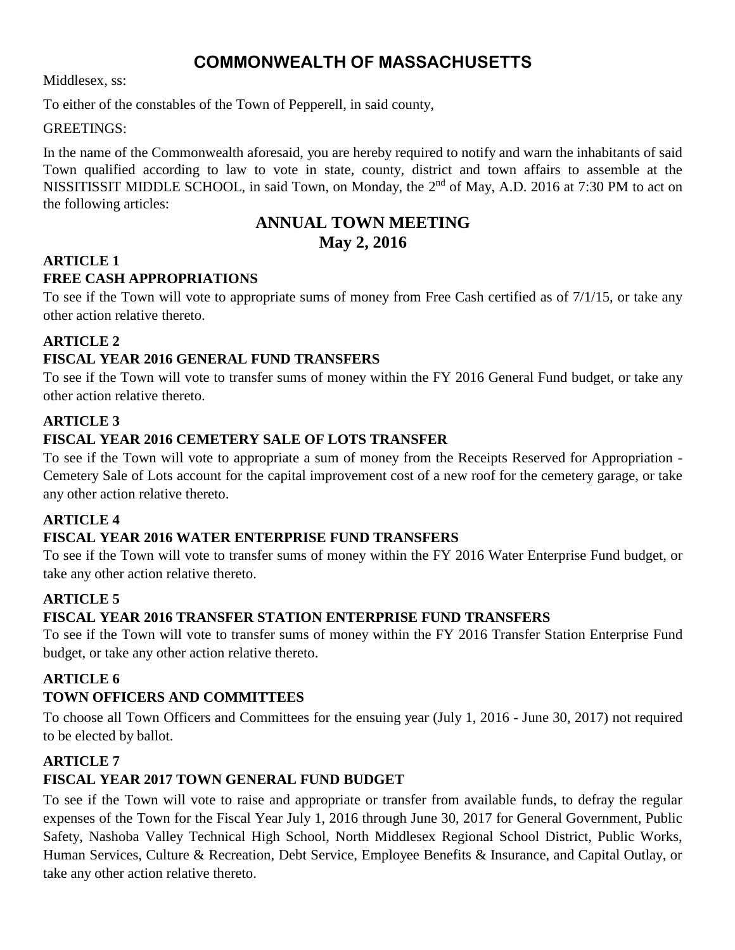# **COMMONWEALTH OF MASSACHUSETTS**

Middlesex, ss:

To either of the constables of the Town of Pepperell, in said county,

#### GREETINGS:

In the name of the Commonwealth aforesaid, you are hereby required to notify and warn the inhabitants of said Town qualified according to law to vote in state, county, district and town affairs to assemble at the NISSITISSIT MIDDLE SCHOOL, in said Town, on Monday, the 2<sup>nd</sup> of May, A.D. 2016 at 7:30 PM to act on the following articles:

# **ANNUAL TOWN MEETING**

### **May 2, 2016**

#### **ARTICLE 1 FREE CASH APPROPRIATIONS**

To see if the Town will vote to appropriate sums of money from Free Cash certified as of 7/1/15, or take any other action relative thereto.

### **ARTICLE 2**

### **FISCAL YEAR 2016 GENERAL FUND TRANSFERS**

To see if the Town will vote to transfer sums of money within the FY 2016 General Fund budget, or take any other action relative thereto.

### **ARTICLE 3**

### **FISCAL YEAR 2016 CEMETERY SALE OF LOTS TRANSFER**

To see if the Town will vote to appropriate a sum of money from the Receipts Reserved for Appropriation - Cemetery Sale of Lots account for the capital improvement cost of a new roof for the cemetery garage, or take any other action relative thereto.

### **ARTICLE 4**

### **FISCAL YEAR 2016 WATER ENTERPRISE FUND TRANSFERS**

To see if the Town will vote to transfer sums of money within the FY 2016 Water Enterprise Fund budget, or take any other action relative thereto.

### **ARTICLE 5**

### **FISCAL YEAR 2016 TRANSFER STATION ENTERPRISE FUND TRANSFERS**

To see if the Town will vote to transfer sums of money within the FY 2016 Transfer Station Enterprise Fund budget, or take any other action relative thereto.

### **ARTICLE 6**

### **TOWN OFFICERS AND COMMITTEES**

To choose all Town Officers and Committees for the ensuing year (July 1, 2016 - June 30, 2017) not required to be elected by ballot.

### **ARTICLE 7**

### **FISCAL YEAR 2017 TOWN GENERAL FUND BUDGET**

To see if the Town will vote to raise and appropriate or transfer from available funds, to defray the regular expenses of the Town for the Fiscal Year July 1, 2016 through June 30, 2017 for General Government, Public Safety, Nashoba Valley Technical High School, North Middlesex Regional School District, Public Works, Human Services, Culture & Recreation, Debt Service, Employee Benefits & Insurance, and Capital Outlay, or take any other action relative thereto.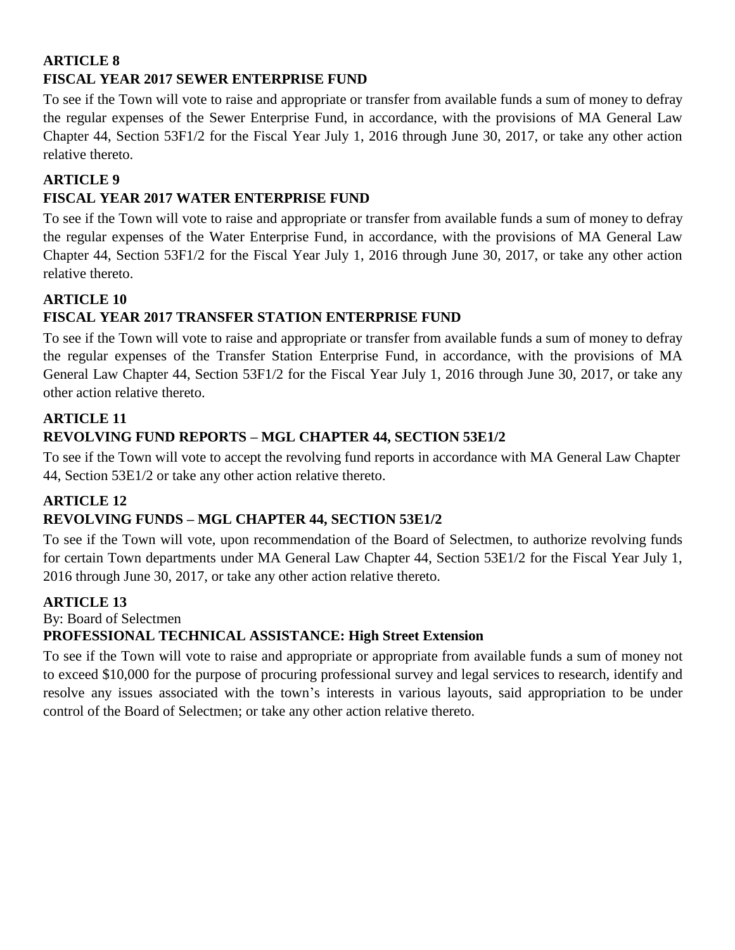### **ARTICLE 8 FISCAL YEAR 2017 SEWER ENTERPRISE FUND**

To see if the Town will vote to raise and appropriate or transfer from available funds a sum of money to defray the regular expenses of the Sewer Enterprise Fund, in accordance, with the provisions of MA General Law Chapter 44, Section 53F1/2 for the Fiscal Year July 1, 2016 through June 30, 2017, or take any other action relative thereto.

### **ARTICLE 9**

### **FISCAL YEAR 2017 WATER ENTERPRISE FUND**

To see if the Town will vote to raise and appropriate or transfer from available funds a sum of money to defray the regular expenses of the Water Enterprise Fund, in accordance, with the provisions of MA General Law Chapter 44, Section 53F1/2 for the Fiscal Year July 1, 2016 through June 30, 2017, or take any other action relative thereto.

### **ARTICLE 10**

### **FISCAL YEAR 2017 TRANSFER STATION ENTERPRISE FUND**

To see if the Town will vote to raise and appropriate or transfer from available funds a sum of money to defray the regular expenses of the Transfer Station Enterprise Fund, in accordance, with the provisions of MA General Law Chapter 44, Section 53F1/2 for the Fiscal Year July 1, 2016 through June 30, 2017, or take any other action relative thereto.

### **ARTICLE 11**

### **REVOLVING FUND REPORTS – MGL CHAPTER 44, SECTION 53E1/2**

To see if the Town will vote to accept the revolving fund reports in accordance with MA General Law Chapter 44, Section 53E1/2 or take any other action relative thereto.

### **ARTICLE 12**

### **REVOLVING FUNDS – MGL CHAPTER 44, SECTION 53E1/2**

To see if the Town will vote, upon recommendation of the Board of Selectmen, to authorize revolving funds for certain Town departments under MA General Law Chapter 44, Section 53E1/2 for the Fiscal Year July 1, 2016 through June 30, 2017, or take any other action relative thereto.

### **ARTICLE 13**

By: Board of Selectmen

### **PROFESSIONAL TECHNICAL ASSISTANCE: High Street Extension**

To see if the Town will vote to raise and appropriate or appropriate from available funds a sum of money not to exceed \$10,000 for the purpose of procuring professional survey and legal services to research, identify and resolve any issues associated with the town's interests in various layouts, said appropriation to be under control of the Board of Selectmen; or take any other action relative thereto.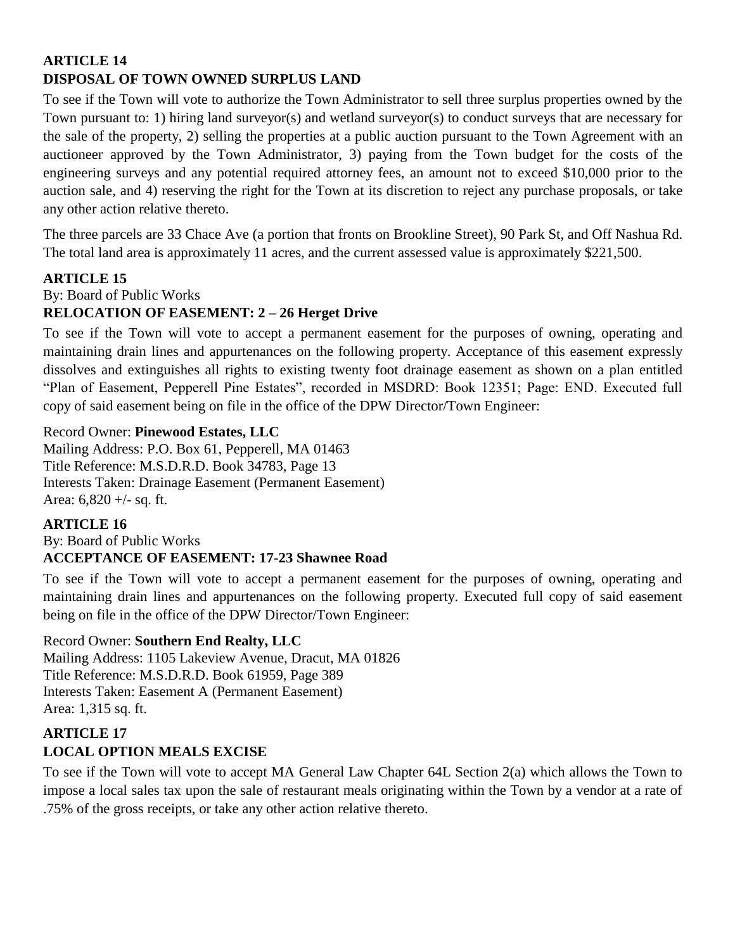### **ARTICLE 14 DISPOSAL OF TOWN OWNED SURPLUS LAND**

To see if the Town will vote to authorize the Town Administrator to sell three surplus properties owned by the Town pursuant to: 1) hiring land surveyor(s) and wetland surveyor(s) to conduct surveys that are necessary for the sale of the property, 2) selling the properties at a public auction pursuant to the Town Agreement with an auctioneer approved by the Town Administrator, 3) paying from the Town budget for the costs of the engineering surveys and any potential required attorney fees, an amount not to exceed \$10,000 prior to the auction sale, and 4) reserving the right for the Town at its discretion to reject any purchase proposals, or take any other action relative thereto.

The three parcels are 33 Chace Ave (a portion that fronts on Brookline Street), 90 Park St, and Off Nashua Rd. The total land area is approximately 11 acres, and the current assessed value is approximately \$221,500.

### **ARTICLE 15**

### By: Board of Public Works **RELOCATION OF EASEMENT: 2 – 26 Herget Drive**

To see if the Town will vote to accept a permanent easement for the purposes of owning, operating and maintaining drain lines and appurtenances on the following property. Acceptance of this easement expressly dissolves and extinguishes all rights to existing twenty foot drainage easement as shown on a plan entitled "Plan of Easement, Pepperell Pine Estates", recorded in MSDRD: Book 12351; Page: END. Executed full copy of said easement being on file in the office of the DPW Director/Town Engineer:

#### Record Owner: **Pinewood Estates, LLC**

Mailing Address: P.O. Box 61, Pepperell, MA 01463 Title Reference: M.S.D.R.D. Book 34783, Page 13 Interests Taken: Drainage Easement (Permanent Easement) Area: 6,820 +/- sq. ft.

### **ARTICLE 16**

### By: Board of Public Works **ACCEPTANCE OF EASEMENT: 17-23 Shawnee Road**

To see if the Town will vote to accept a permanent easement for the purposes of owning, operating and maintaining drain lines and appurtenances on the following property. Executed full copy of said easement being on file in the office of the DPW Director/Town Engineer:

### Record Owner: **Southern End Realty, LLC**

Mailing Address: 1105 Lakeview Avenue, Dracut, MA 01826 Title Reference: M.S.D.R.D. Book 61959, Page 389 Interests Taken: Easement A (Permanent Easement) Area: 1,315 sq. ft.

## **ARTICLE 17 LOCAL OPTION MEALS EXCISE**

To see if the Town will vote to accept MA General Law Chapter 64L Section 2(a) which allows the Town to impose a local sales tax upon the sale of restaurant meals originating within the Town by a vendor at a rate of .75% of the gross receipts, or take any other action relative thereto.